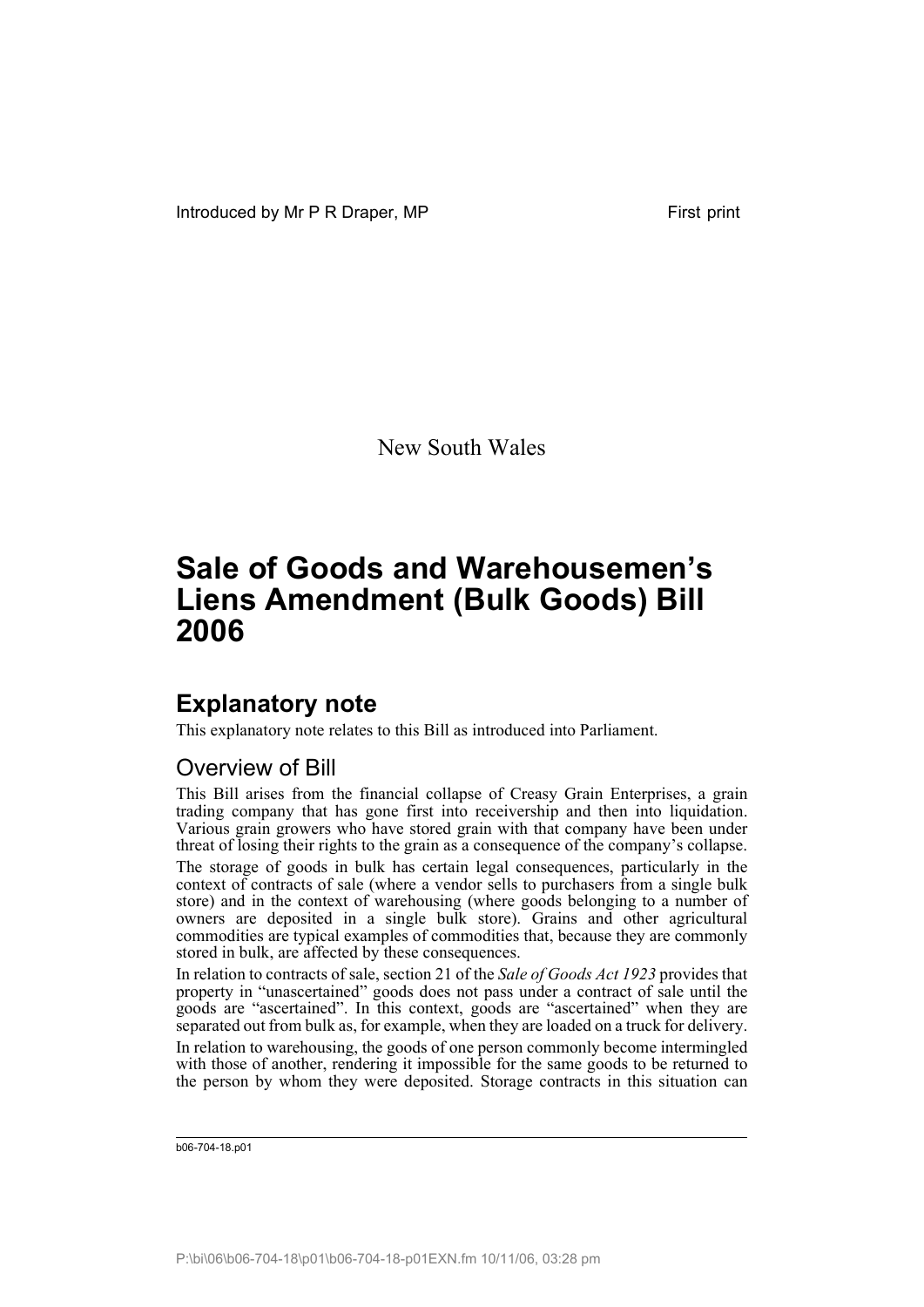New South Wales

# **Sale of Goods and Warehousemen's Liens Amendment (Bulk Goods) Bill 2006**

## **Explanatory note**

This explanatory note relates to this Bill as introduced into Parliament.

### Overview of Bill

This Bill arises from the financial collapse of Creasy Grain Enterprises, a grain trading company that has gone first into receivership and then into liquidation. Various grain growers who have stored grain with that company have been under threat of losing their rights to the grain as a consequence of the company's collapse.

The storage of goods in bulk has certain legal consequences, particularly in the context of contracts of sale (where a vendor sells to purchasers from a single bulk store) and in the context of warehousing (where goods belonging to a number of owners are deposited in a single bulk store). Grains and other agricultural commodities are typical examples of commodities that, because they are commonly stored in bulk, are affected by these consequences.

In relation to contracts of sale, section 21 of the *Sale of Goods Act 1923* provides that property in "unascertained" goods does not pass under a contract of sale until the goods are "ascertained". In this context, goods are "ascertained" when they are separated out from bulk as, for example, when they are loaded on a truck for delivery.

In relation to warehousing, the goods of one person commonly become intermingled with those of another, rendering it impossible for the same goods to be returned to the person by whom they were deposited. Storage contracts in this situation can

b06-704-18.p01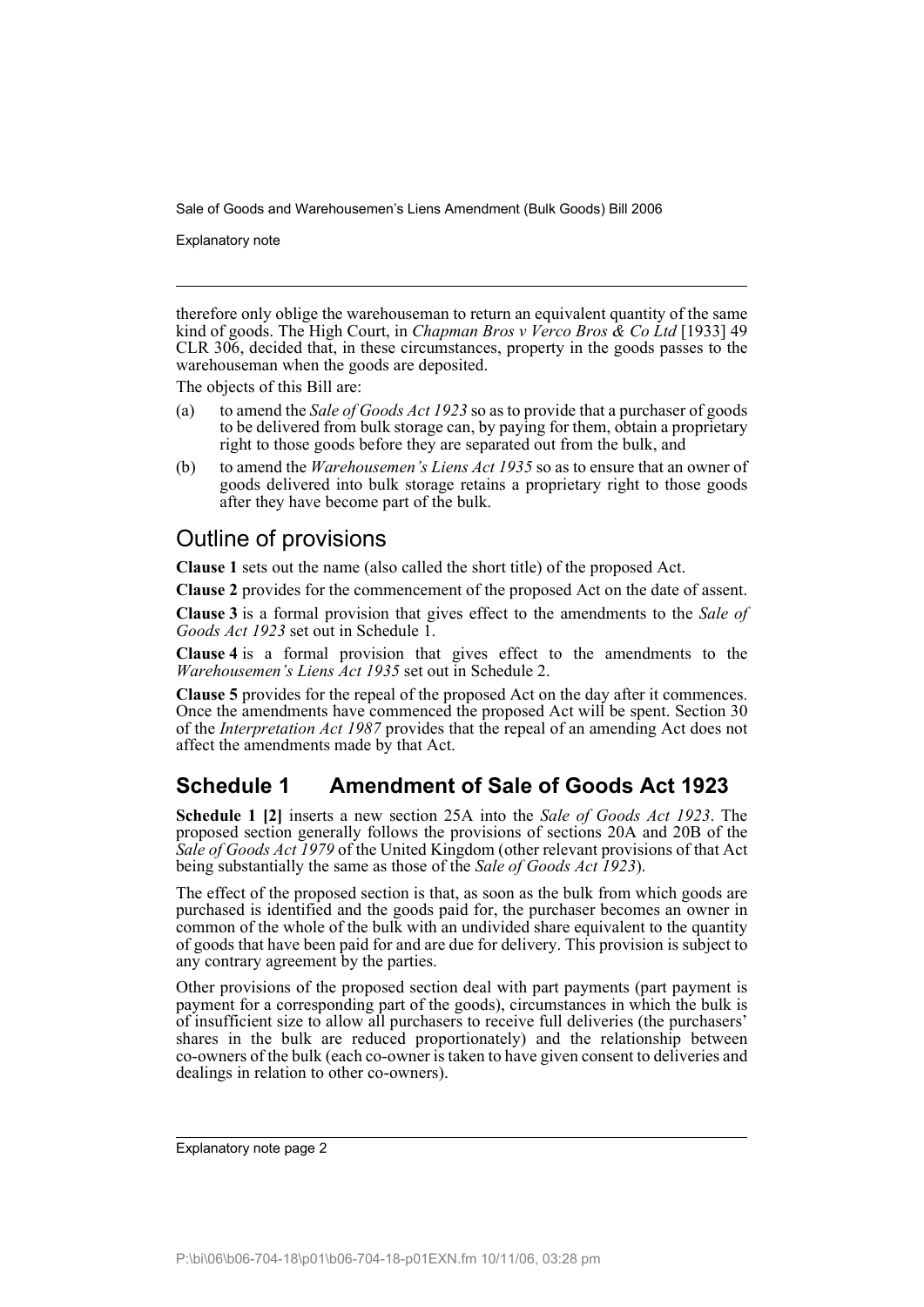Explanatory note

therefore only oblige the warehouseman to return an equivalent quantity of the same kind of goods. The High Court, in *Chapman Bros v Verco Bros & Co Ltd* [1933] 49 CLR 306, decided that, in these circumstances, property in the goods passes to the warehouseman when the goods are deposited.

The objects of this Bill are:

- (a) to amend the *Sale of Goods Act 1923* so as to provide that a purchaser of goods to be delivered from bulk storage can, by paying for them, obtain a proprietary right to those goods before they are separated out from the bulk, and
- (b) to amend the *Warehousemen's Liens Act 1935* so as to ensure that an owner of goods delivered into bulk storage retains a proprietary right to those goods after they have become part of the bulk.

### Outline of provisions

**Clause 1** sets out the name (also called the short title) of the proposed Act.

**Clause 2** provides for the commencement of the proposed Act on the date of assent.

**Clause 3** is a formal provision that gives effect to the amendments to the *Sale of Goods Act 1923* set out in Schedule 1.

**Clause 4** is a formal provision that gives effect to the amendments to the *Warehousemen's Liens Act 1935* set out in Schedule 2.

**Clause 5** provides for the repeal of the proposed Act on the day after it commences. Once the amendments have commenced the proposed Act will be spent. Section 30 of the *Interpretation Act 1987* provides that the repeal of an amending Act does not affect the amendments made by that Act.

### **Schedule 1 Amendment of Sale of Goods Act 1923**

**Schedule 1 [2]** inserts a new section 25A into the *Sale of Goods Act 1923*. The proposed section generally follows the provisions of sections 20A and 20B of the *Sale of Goods Act 1979* of the United Kingdom (other relevant provisions of that Act being substantially the same as those of the *Sale of Goods Act 1923*).

The effect of the proposed section is that, as soon as the bulk from which goods are purchased is identified and the goods paid for, the purchaser becomes an owner in common of the whole of the bulk with an undivided share equivalent to the quantity of goods that have been paid for and are due for delivery. This provision is subject to any contrary agreement by the parties.

Other provisions of the proposed section deal with part payments (part payment is payment for a corresponding part of the goods), circumstances in which the bulk is of insufficient size to allow all purchasers to receive full deliveries (the purchasers' shares in the bulk are reduced proportionately) and the relationship between co-owners of the bulk (each co-owner is taken to have given consent to deliveries and dealings in relation to other co-owners).

Explanatory note page 2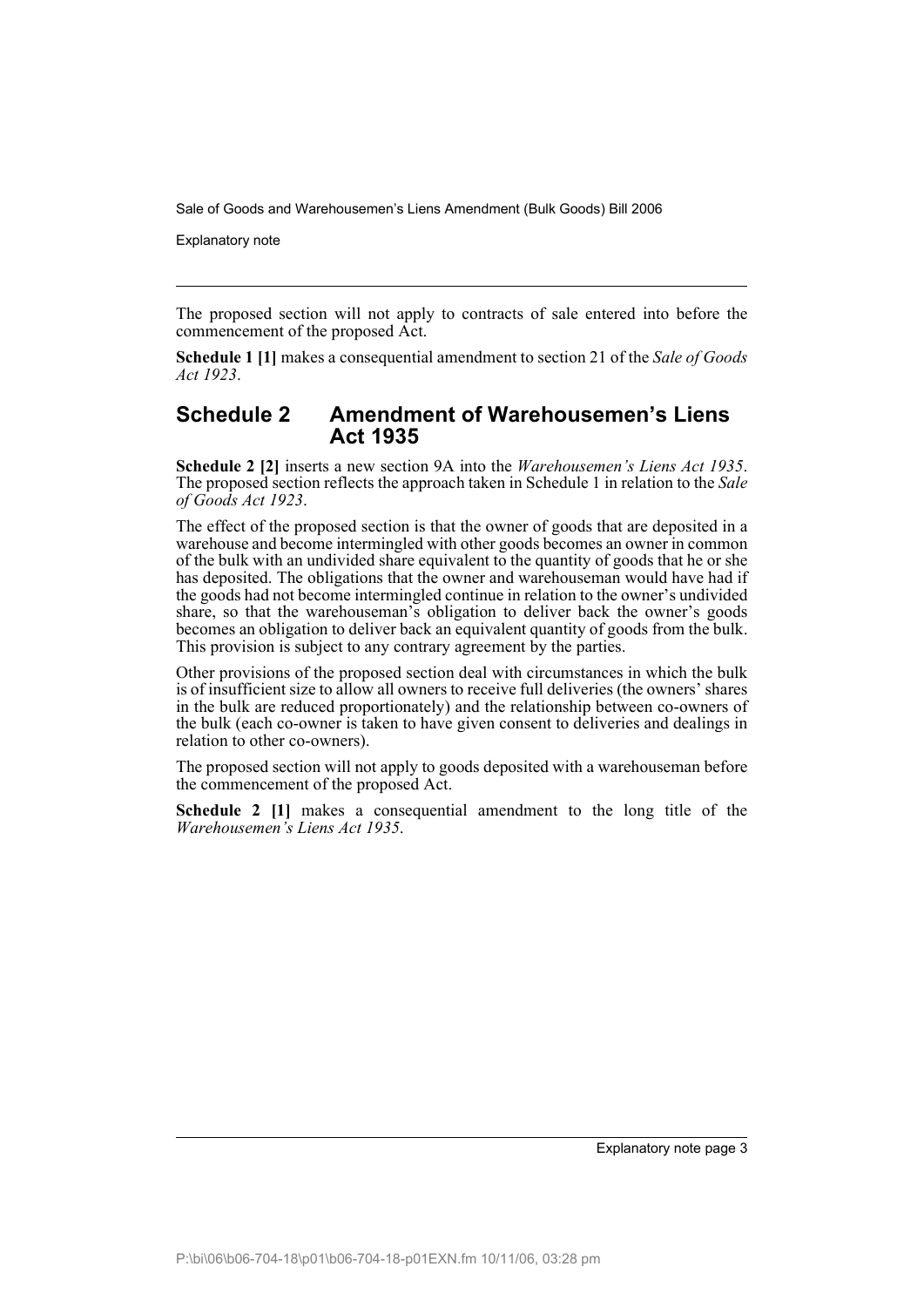Explanatory note

The proposed section will not apply to contracts of sale entered into before the commencement of the proposed Act.

**Schedule 1 [1]** makes a consequential amendment to section 21 of the *Sale of Goods Act 1923*.

#### **Schedule 2 Amendment of Warehousemen's Liens Act 1935**

**Schedule 2 [2]** inserts a new section 9A into the *Warehousemen's Liens Act 1935*. The proposed section reflects the approach taken in Schedule 1 in relation to the *Sale of Goods Act 1923*.

The effect of the proposed section is that the owner of goods that are deposited in a warehouse and become intermingled with other goods becomes an owner in common of the bulk with an undivided share equivalent to the quantity of goods that he or she has deposited. The obligations that the owner and warehouseman would have had if the goods had not become intermingled continue in relation to the owner's undivided share, so that the warehouseman's obligation to deliver back the owner's goods becomes an obligation to deliver back an equivalent quantity of goods from the bulk. This provision is subject to any contrary agreement by the parties.

Other provisions of the proposed section deal with circumstances in which the bulk is of insufficient size to allow all owners to receive full deliveries (the owners' shares in the bulk are reduced proportionately) and the relationship between co-owners of the bulk (each co-owner is taken to have given consent to deliveries and dealings in relation to other co-owners).

The proposed section will not apply to goods deposited with a warehouseman before the commencement of the proposed Act.

**Schedule 2** [1] makes a consequential amendment to the long title of the *Warehousemen's Liens Act 1935*.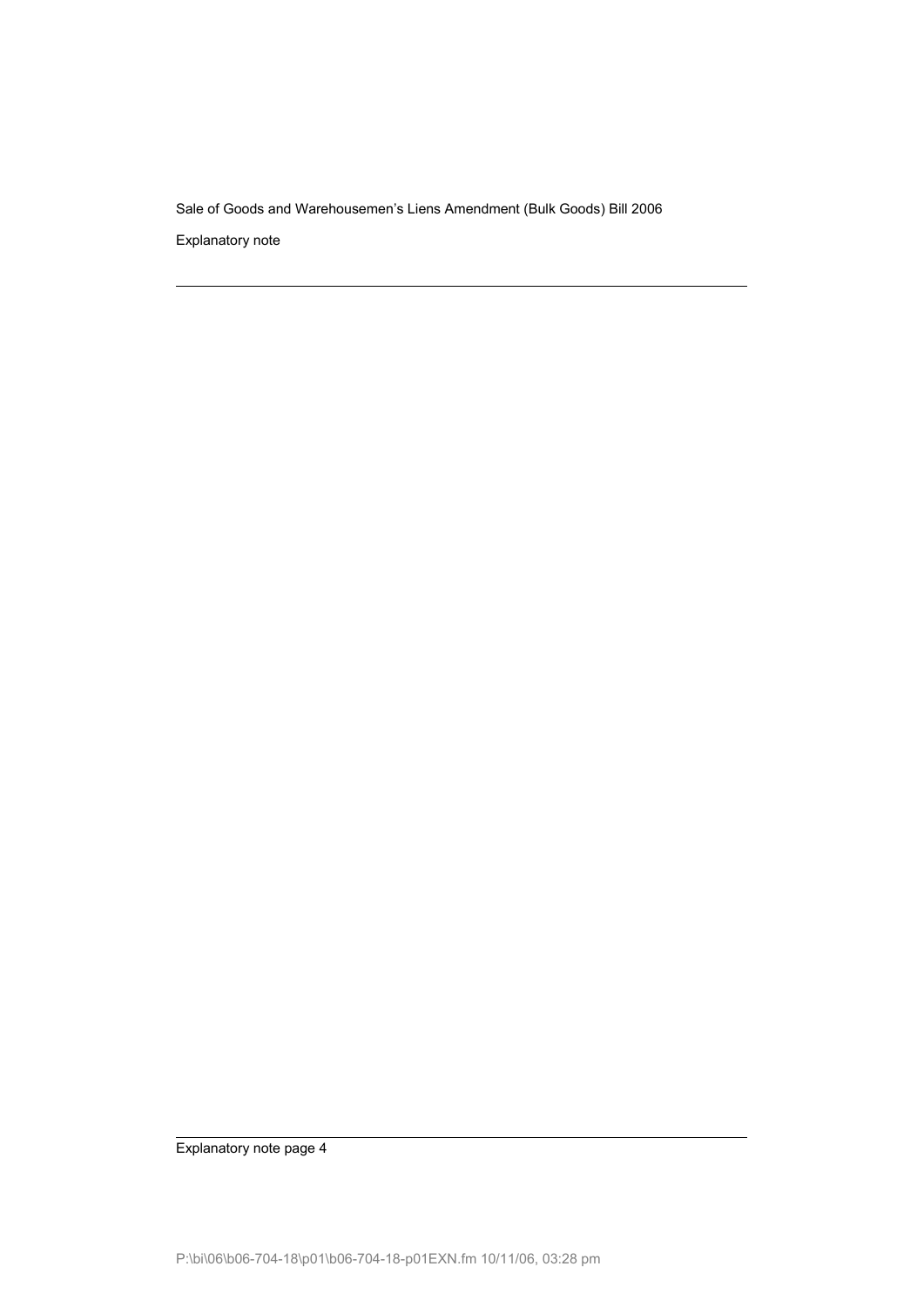Explanatory note

Explanatory note page 4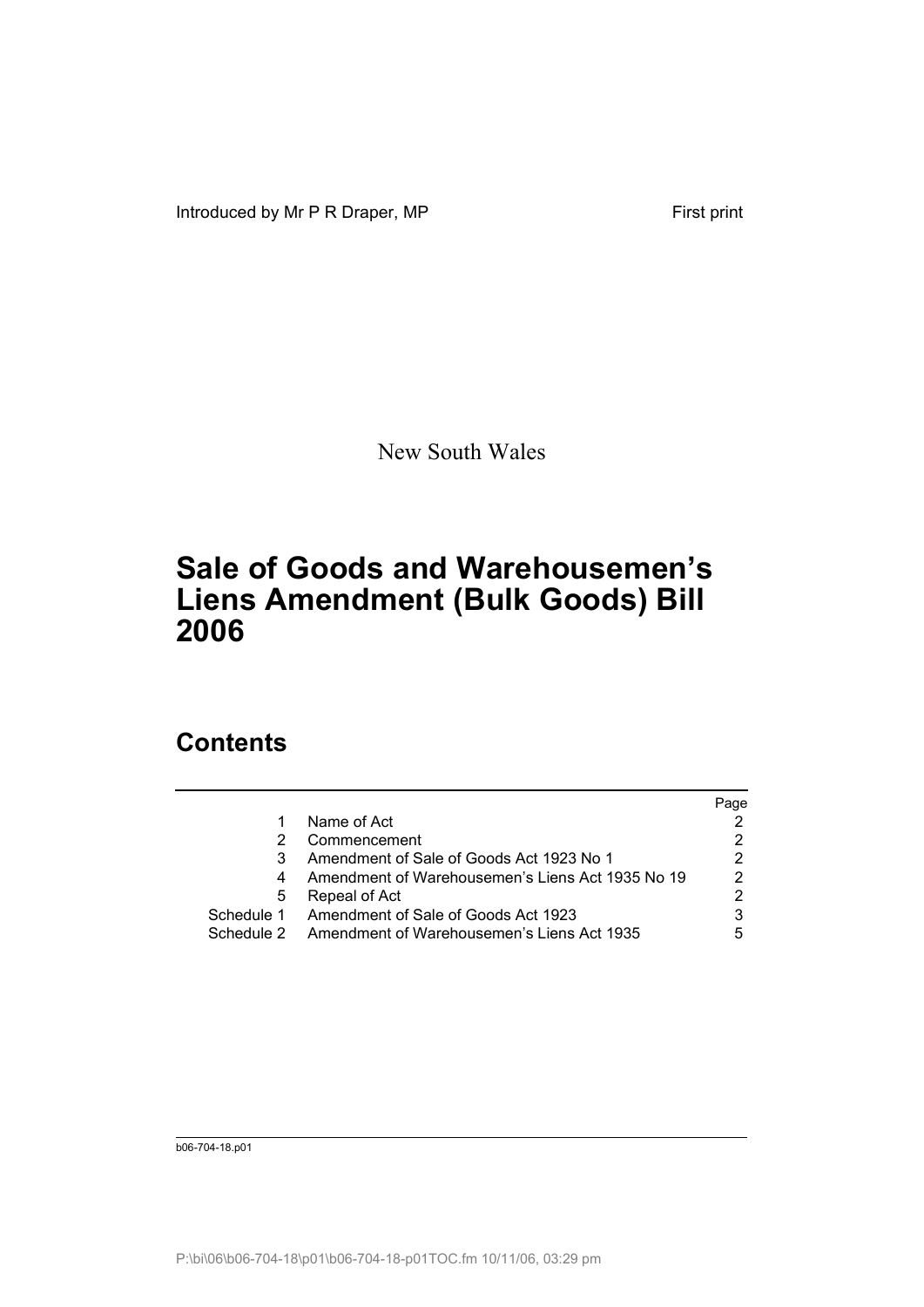New South Wales

# **Sale of Goods and Warehousemen's Liens Amendment (Bulk Goods) Bill 2006**

# **Contents**

|            |                                                  | Page          |
|------------|--------------------------------------------------|---------------|
|            | Name of Act                                      |               |
|            | Commencement                                     |               |
|            | Amendment of Sale of Goods Act 1923 No 1         | 2             |
|            | Amendment of Warehousemen's Liens Act 1935 No 19 | $\mathcal{P}$ |
| 5          | Repeal of Act                                    | 2             |
| Schedule 1 | Amendment of Sale of Goods Act 1923              | 3             |
| Schedule 2 | Amendment of Warehousemen's Liens Act 1935       | 5             |
|            |                                                  |               |

b06-704-18.p01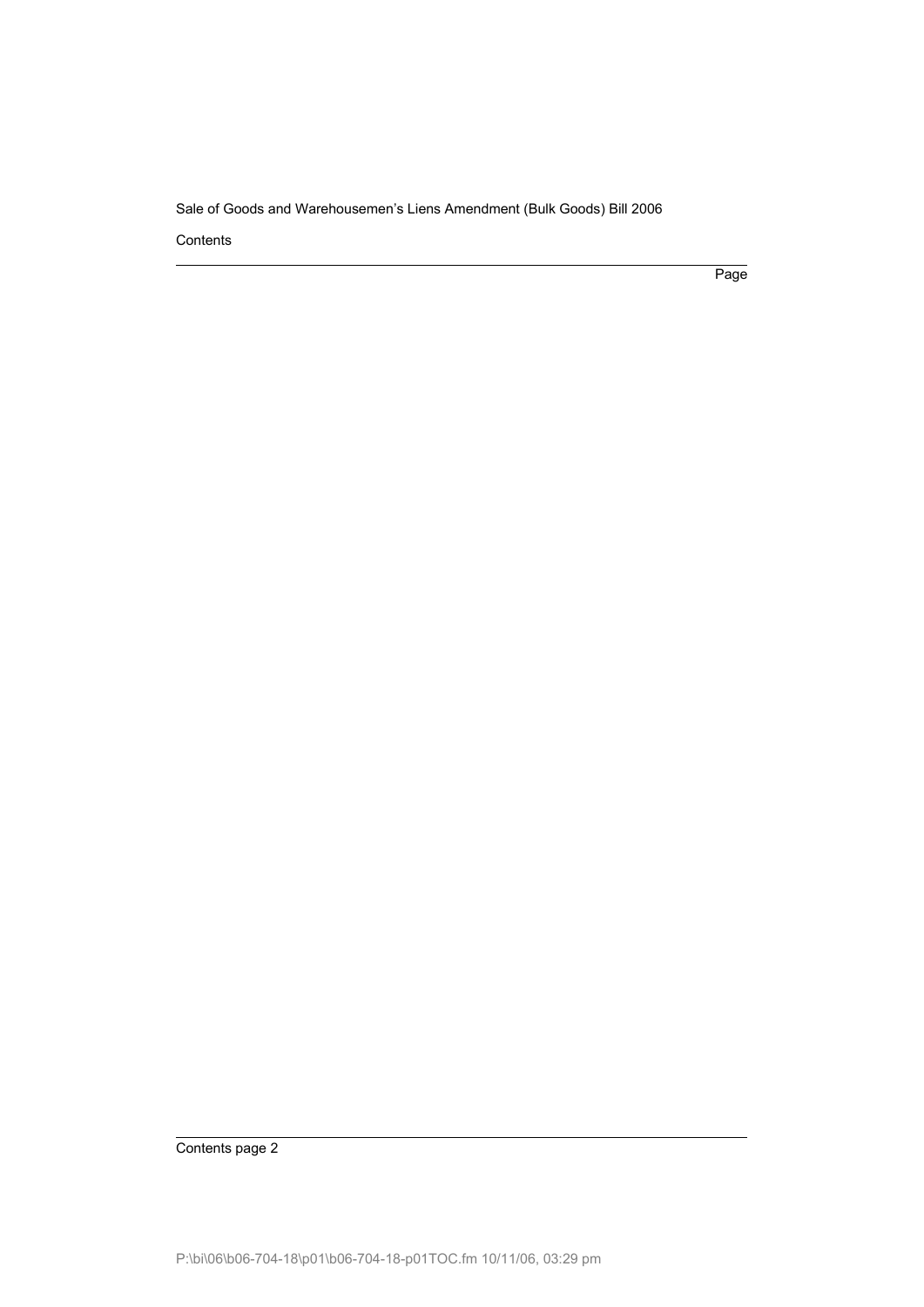**Contents** 

Page

Contents page 2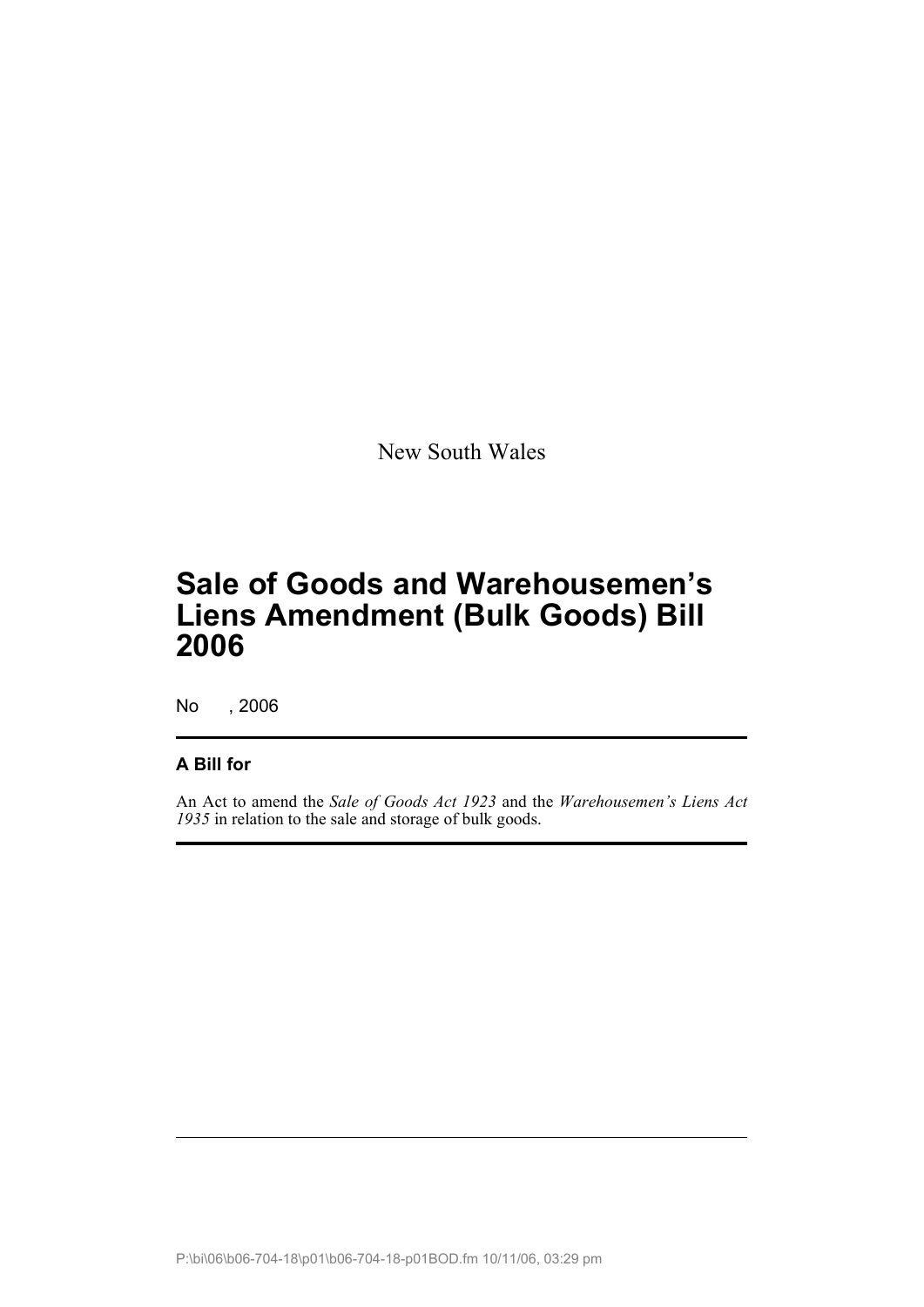New South Wales

# **Sale of Goods and Warehousemen's Liens Amendment (Bulk Goods) Bill 2006**

No , 2006

#### **A Bill for**

An Act to amend the *Sale of Goods Act 1923* and the *Warehousemen's Liens Act 1935* in relation to the sale and storage of bulk goods.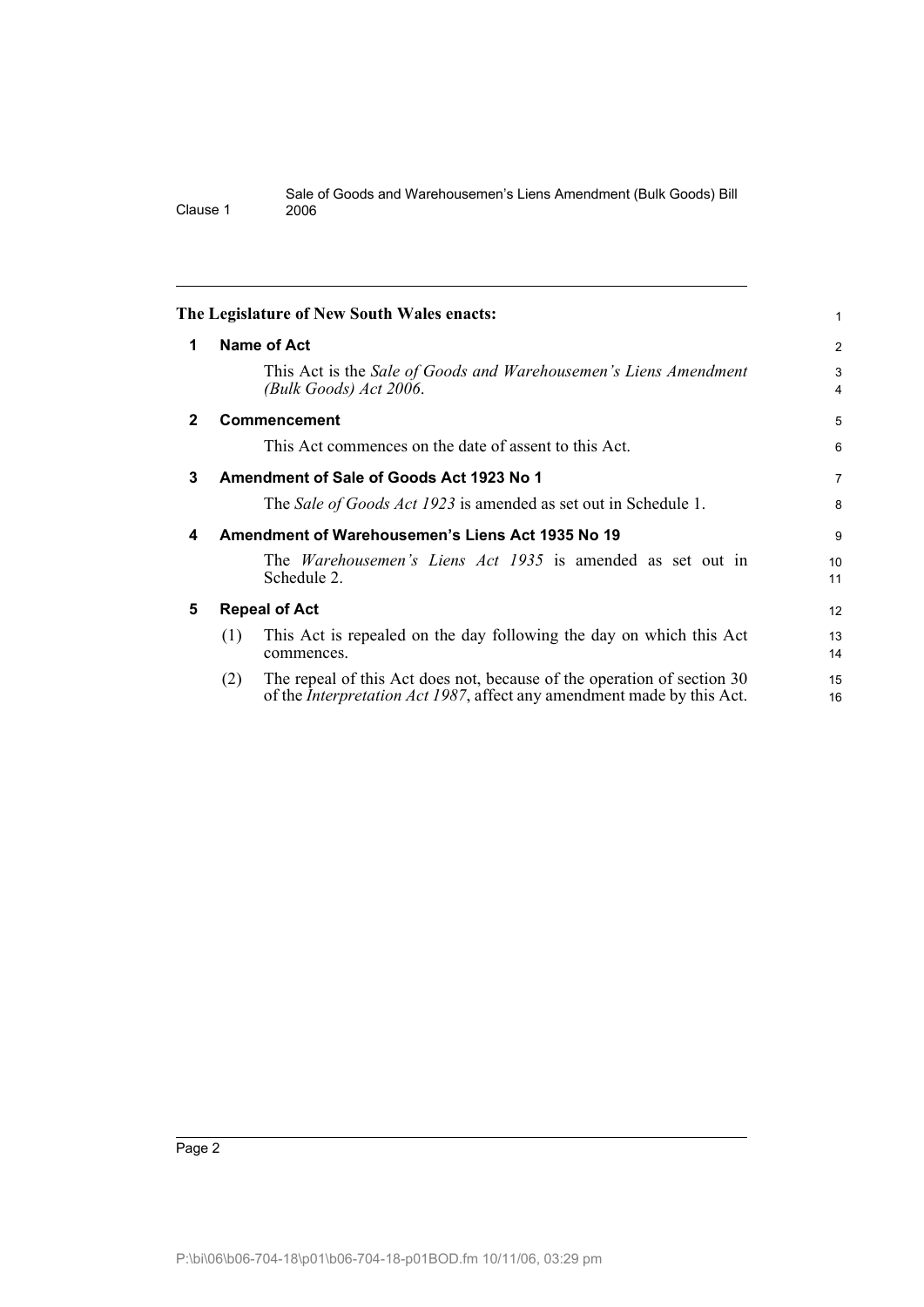|              |                      | The Legislature of New South Wales enacts:                                                                                                                | 1                            |
|--------------|----------------------|-----------------------------------------------------------------------------------------------------------------------------------------------------------|------------------------------|
| 1            |                      | <b>Name of Act</b>                                                                                                                                        | $\overline{2}$               |
|              |                      | This Act is the Sale of Goods and Warehousemen's Liens Amendment<br>(Bulk Goods) Act 2006.                                                                | 3<br>$\overline{\mathbf{4}}$ |
| $\mathbf{2}$ |                      | Commencement                                                                                                                                              | 5                            |
|              |                      | This Act commences on the date of assent to this Act.                                                                                                     | 6                            |
| 3            |                      | Amendment of Sale of Goods Act 1923 No 1                                                                                                                  | $\overline{7}$               |
|              |                      | The Sale of Goods Act 1923 is amended as set out in Schedule 1.                                                                                           | 8                            |
| 4            |                      | Amendment of Warehousemen's Liens Act 1935 No 19                                                                                                          | 9                            |
|              |                      | The <i>Warehousemen's Liens Act 1935</i> is amended as set out in<br>Schedule 2.                                                                          | 10<br>11                     |
| 5            | <b>Repeal of Act</b> |                                                                                                                                                           |                              |
|              | (1)                  | This Act is repealed on the day following the day on which this Act<br>commences.                                                                         | 13<br>14                     |
|              | (2)                  | The repeal of this Act does not, because of the operation of section 30<br>of the <i>Interpretation Act 1987</i> , affect any amendment made by this Act. | 15<br>16                     |
|              |                      |                                                                                                                                                           |                              |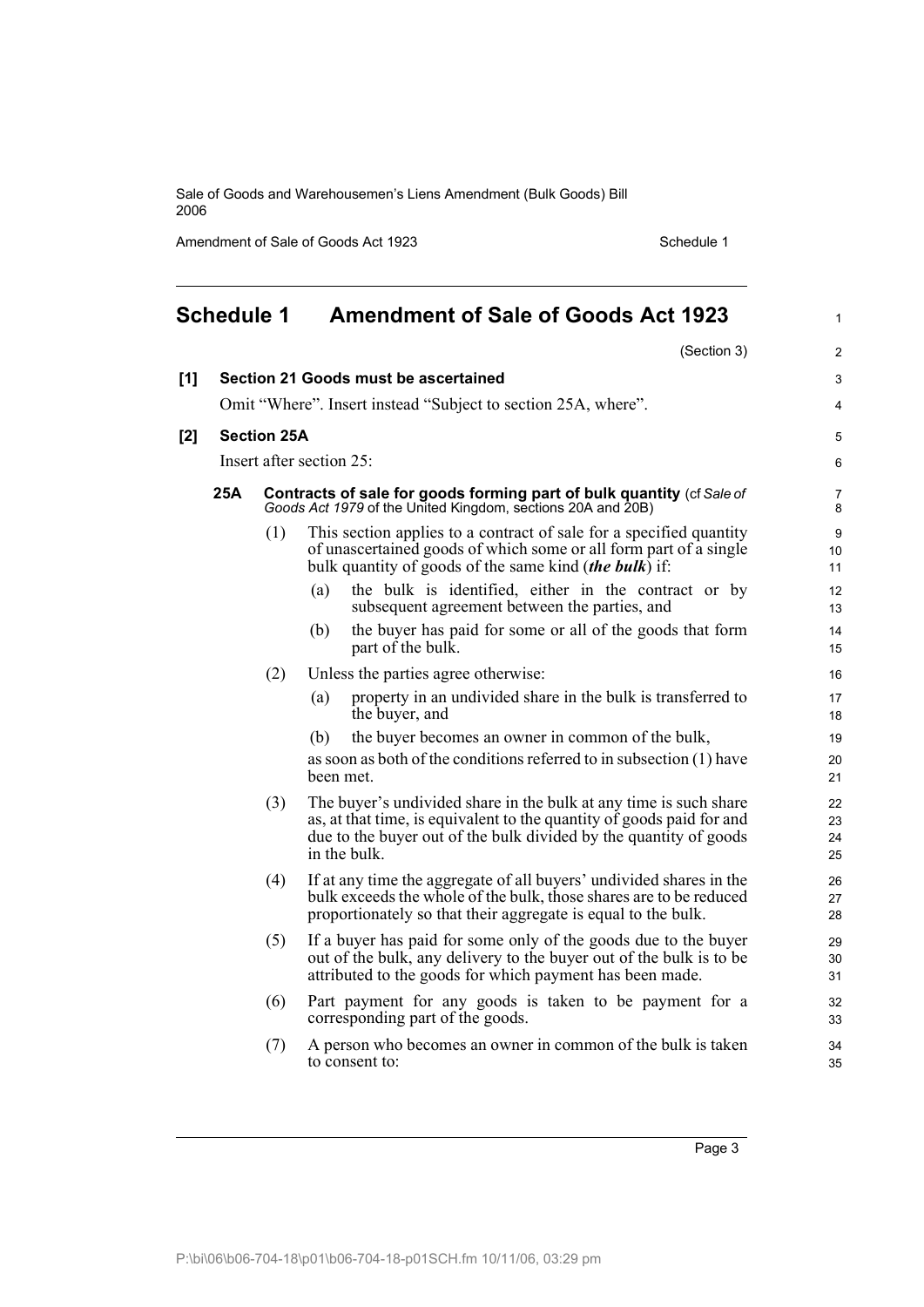Amendment of Sale of Goods Act 1923 Schedule 1

|       | <b>Schedule 1</b>                    |                                                               |     | <b>Amendment of Sale of Goods Act 1923</b>                                                                                                                                                                                      | $\mathbf{1}$         |  |
|-------|--------------------------------------|---------------------------------------------------------------|-----|---------------------------------------------------------------------------------------------------------------------------------------------------------------------------------------------------------------------------------|----------------------|--|
|       |                                      |                                                               |     | (Section 3)                                                                                                                                                                                                                     | $\overline{2}$       |  |
| [1]   | Section 21 Goods must be ascertained |                                                               |     |                                                                                                                                                                                                                                 |                      |  |
|       |                                      | Omit "Where". Insert instead "Subject to section 25A, where". |     |                                                                                                                                                                                                                                 |                      |  |
| $[2]$ | <b>Section 25A</b>                   |                                                               |     |                                                                                                                                                                                                                                 |                      |  |
|       |                                      | Insert after section 25:                                      |     |                                                                                                                                                                                                                                 |                      |  |
|       | <b>25A</b>                           |                                                               |     | Contracts of sale for goods forming part of bulk quantity (cf Sale of<br>Goods Act 1979 of the United Kingdom, sections 20A and 20B)                                                                                            | 7<br>8               |  |
|       |                                      | (1)                                                           |     | This section applies to a contract of sale for a specified quantity<br>of unascertained goods of which some or all form part of a single<br>bulk quantity of goods of the same kind <i>(the bulk)</i> if:                       | 9<br>10<br>11        |  |
|       |                                      |                                                               | (a) | the bulk is identified, either in the contract or by<br>subsequent agreement between the parties, and                                                                                                                           | 12<br>13             |  |
|       |                                      |                                                               | (b) | the buyer has paid for some or all of the goods that form<br>part of the bulk.                                                                                                                                                  | 14<br>15             |  |
|       |                                      | (2)                                                           |     | Unless the parties agree otherwise:                                                                                                                                                                                             | 16                   |  |
|       |                                      |                                                               | (a) | property in an undivided share in the bulk is transferred to<br>the buyer, and                                                                                                                                                  | 17<br>18             |  |
|       |                                      |                                                               | (b) | the buyer becomes an owner in common of the bulk,                                                                                                                                                                               | 19                   |  |
|       |                                      |                                                               |     | as soon as both of the conditions referred to in subsection (1) have<br>been met.                                                                                                                                               | 20<br>21             |  |
|       |                                      | (3)                                                           |     | The buyer's undivided share in the bulk at any time is such share<br>as, at that time, is equivalent to the quantity of goods paid for and<br>due to the buyer out of the bulk divided by the quantity of goods<br>in the bulk. | 22<br>23<br>24<br>25 |  |
|       |                                      | (4)                                                           |     | If at any time the aggregate of all buyers' undivided shares in the<br>bulk exceeds the whole of the bulk, those shares are to be reduced<br>proportionately so that their aggregate is equal to the bulk.                      | 26<br>27<br>28       |  |
|       |                                      | (5)                                                           |     | If a buyer has paid for some only of the goods due to the buyer<br>out of the bulk, any delivery to the buyer out of the bulk is to be<br>attributed to the goods for which payment has been made.                              | 29<br>30<br>31       |  |
|       |                                      | (6)                                                           |     | Part payment for any goods is taken to be payment for a<br>corresponding part of the goods.                                                                                                                                     | 32<br>33             |  |
|       |                                      | (7)                                                           |     | A person who becomes an owner in common of the bulk is taken<br>to consent to:                                                                                                                                                  | 34<br>35             |  |

Page 3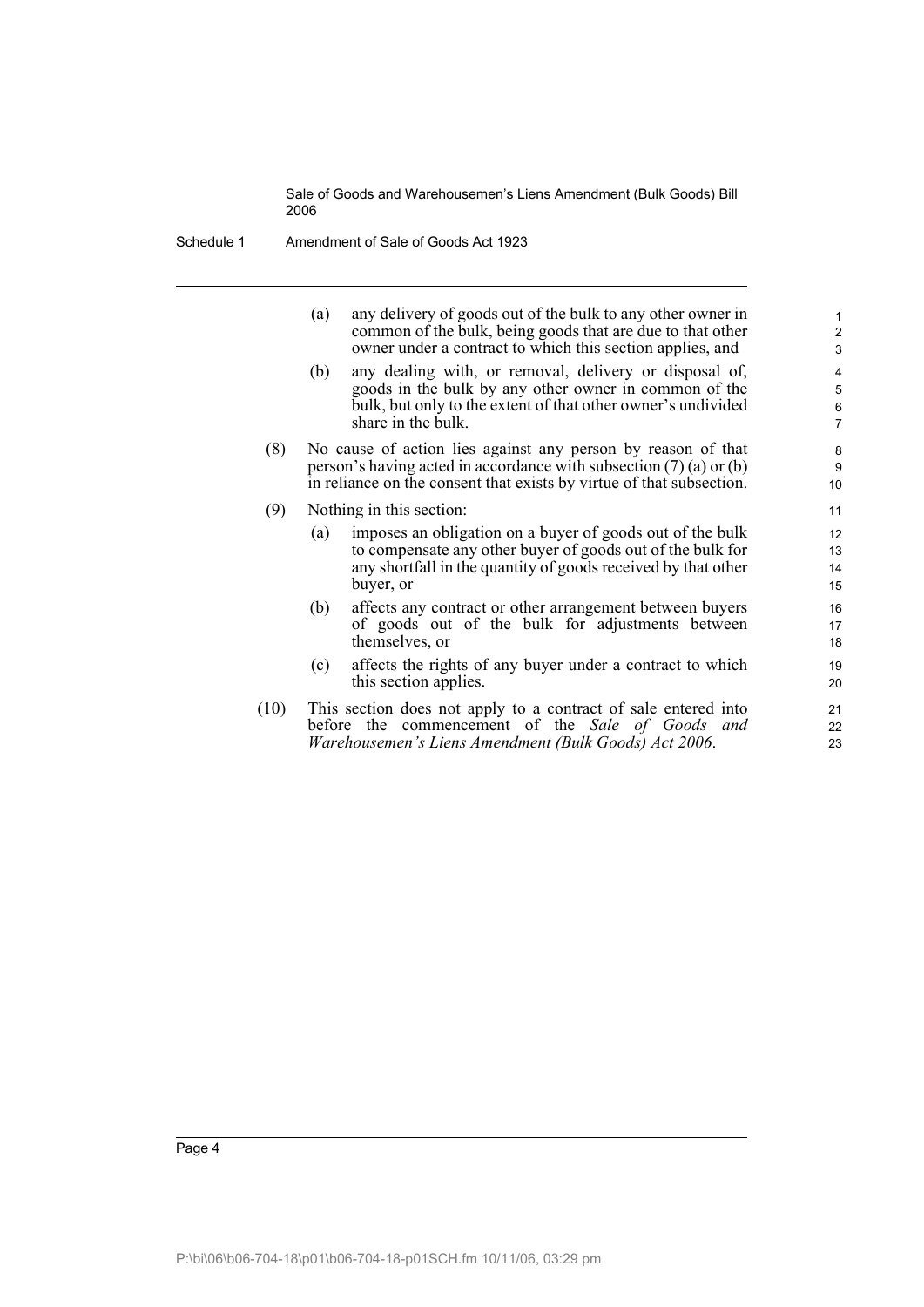(a) any delivery of goods out of the bulk to any other owner in common of the bulk, being goods that are due to that other owner under a contract to which this section applies, and

- (b) any dealing with, or removal, delivery or disposal of, goods in the bulk by any other owner in common of the bulk, but only to the extent of that other owner's undivided share in the bulk.
- (8) No cause of action lies against any person by reason of that person's having acted in accordance with subsection (7) (a) or (b) in reliance on the consent that exists by virtue of that subsection.
- (9) Nothing in this section:
	- (a) imposes an obligation on a buyer of goods out of the bulk to compensate any other buyer of goods out of the bulk for any shortfall in the quantity of goods received by that other buyer, or
	- (b) affects any contract or other arrangement between buyers of goods out of the bulk for adjustments between themselves, or
	- (c) affects the rights of any buyer under a contract to which this section applies.
- (10) This section does not apply to a contract of sale entered into before the commencement of the *Sale of Goods and Warehousemen's Liens Amendment (Bulk Goods) Act 2006*.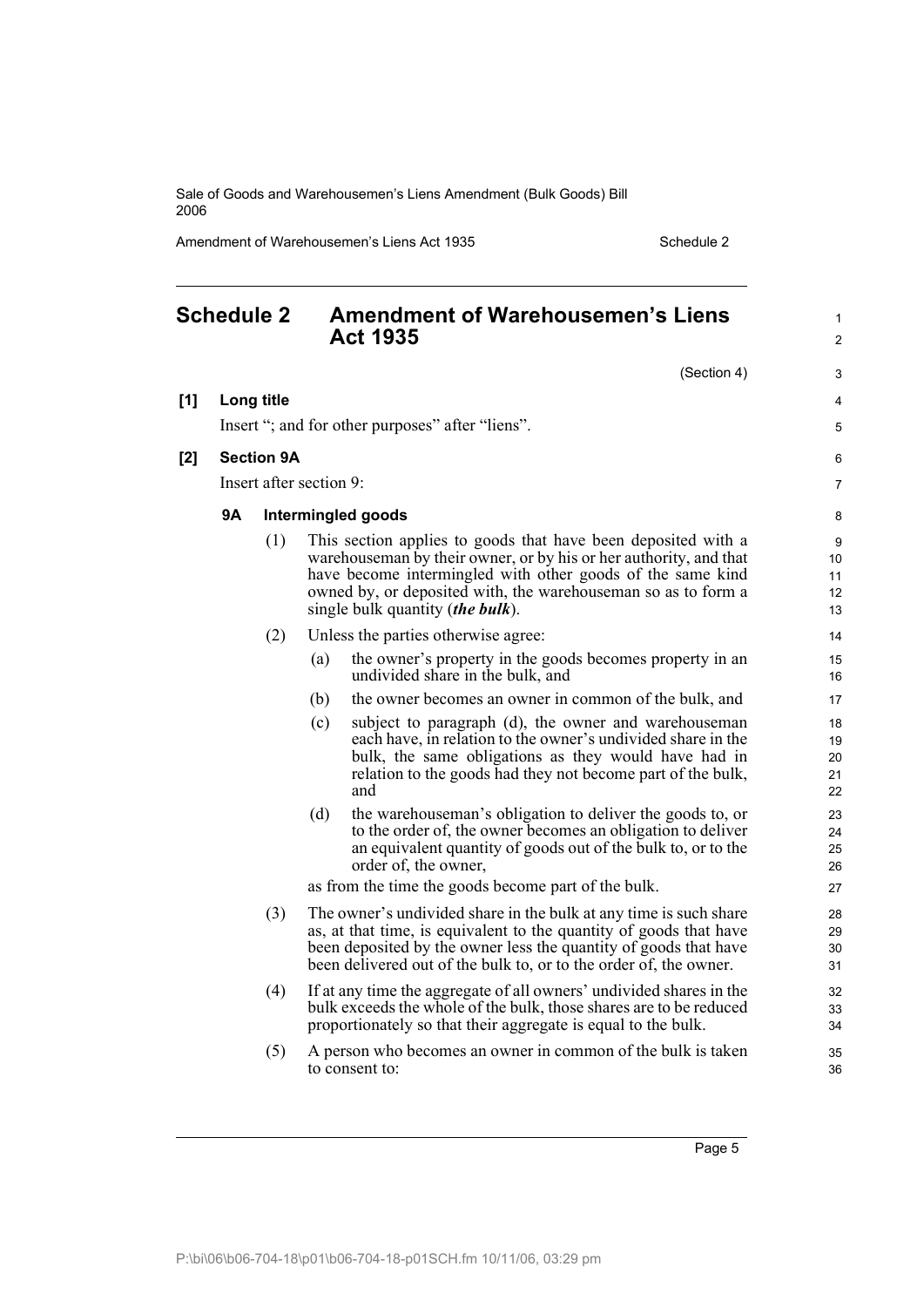Amendment of Warehousemen's Liens Act 1935

#### **Schedule 2 Amendment of Warehousemen's Liens Act 1935**

 $(Confin A)$ 

1 2

|     |                                                  |                           |                                                                                                                                                                                                                                                                                                         | (Section 4)                                                                                                                                                                                                                                                                      | 3                          |
|-----|--------------------------------------------------|---------------------------|---------------------------------------------------------------------------------------------------------------------------------------------------------------------------------------------------------------------------------------------------------------------------------------------------------|----------------------------------------------------------------------------------------------------------------------------------------------------------------------------------------------------------------------------------------------------------------------------------|----------------------------|
| [1] |                                                  | Long title                |                                                                                                                                                                                                                                                                                                         |                                                                                                                                                                                                                                                                                  | 4                          |
|     | Insert "; and for other purposes" after "liens". |                           |                                                                                                                                                                                                                                                                                                         |                                                                                                                                                                                                                                                                                  | 5                          |
| [2] | <b>Section 9A</b>                                |                           |                                                                                                                                                                                                                                                                                                         |                                                                                                                                                                                                                                                                                  |                            |
|     | Insert after section 9:                          |                           |                                                                                                                                                                                                                                                                                                         |                                                                                                                                                                                                                                                                                  |                            |
|     | 9Α                                               | <b>Intermingled goods</b> |                                                                                                                                                                                                                                                                                                         |                                                                                                                                                                                                                                                                                  |                            |
|     |                                                  | (1)                       | This section applies to goods that have been deposited with a<br>warehouse man by their owner, or by his or her authority, and that<br>have become intermingled with other goods of the same kind<br>owned by, or deposited with, the warehouse man so as to form a<br>single bulk quantity (the bulk). |                                                                                                                                                                                                                                                                                  |                            |
|     |                                                  | (2)                       |                                                                                                                                                                                                                                                                                                         | Unless the parties otherwise agree:                                                                                                                                                                                                                                              | 14                         |
|     |                                                  |                           | (a)                                                                                                                                                                                                                                                                                                     | the owner's property in the goods becomes property in an<br>undivided share in the bulk, and                                                                                                                                                                                     | 15<br>16                   |
|     |                                                  |                           | (b)                                                                                                                                                                                                                                                                                                     | the owner becomes an owner in common of the bulk, and                                                                                                                                                                                                                            | 17                         |
|     |                                                  |                           | (c)                                                                                                                                                                                                                                                                                                     | subject to paragraph (d), the owner and warehouseman<br>each have, in relation to the owner's undivided share in the<br>bulk, the same obligations as they would have had in<br>relation to the goods had they not become part of the bulk,<br>and                               | 18<br>19<br>20<br>21<br>22 |
|     |                                                  |                           | (d)                                                                                                                                                                                                                                                                                                     | the warehouse man's obligation to deliver the goods to, or<br>to the order of, the owner becomes an obligation to deliver<br>an equivalent quantity of goods out of the bulk to, or to the<br>order of, the owner,                                                               | 23<br>24<br>25<br>26       |
|     |                                                  |                           |                                                                                                                                                                                                                                                                                                         | as from the time the goods become part of the bulk.                                                                                                                                                                                                                              | 27                         |
|     |                                                  | (3)                       |                                                                                                                                                                                                                                                                                                         | The owner's undivided share in the bulk at any time is such share<br>as, at that time, is equivalent to the quantity of goods that have<br>been deposited by the owner less the quantity of goods that have<br>been delivered out of the bulk to, or to the order of, the owner. | 28<br>29<br>30<br>31       |
|     |                                                  | (4)                       |                                                                                                                                                                                                                                                                                                         | If at any time the aggregate of all owners' undivided shares in the<br>bulk exceeds the whole of the bulk, those shares are to be reduced<br>proportionately so that their aggregate is equal to the bulk.                                                                       | 32<br>33<br>34             |
|     |                                                  | (5)                       |                                                                                                                                                                                                                                                                                                         | A person who becomes an owner in common of the bulk is taken<br>to consent to:                                                                                                                                                                                                   | 35<br>36                   |

Page 5